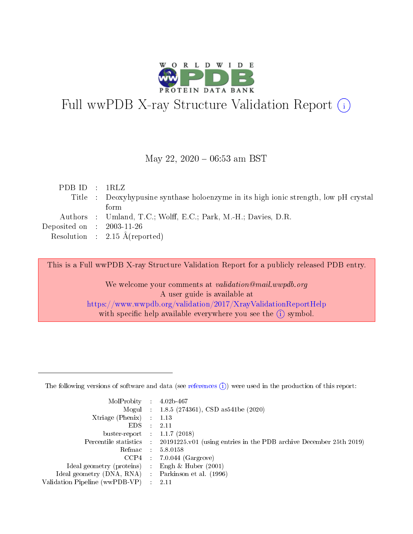

# Full wwPDB X-ray Structure Validation Report (i)

#### May 22,  $2020 - 06:53$  am BST

| PDBID : IRLZ                         |                                                                                      |
|--------------------------------------|--------------------------------------------------------------------------------------|
|                                      | Title : Deoxyhypusine synthase holoenzyme in its high ionic strength, low pH crystal |
|                                      | form                                                                                 |
|                                      | Authors : Umland, T.C.; Wolff, E.C.; Park, M.-H.; Davies, D.R.                       |
| Deposited on $\therefore$ 2003-11-26 |                                                                                      |
|                                      | Resolution : $2.15 \text{ Å}$ (reported)                                             |

This is a Full wwPDB X-ray Structure Validation Report for a publicly released PDB entry.

We welcome your comments at validation@mail.wwpdb.org A user guide is available at <https://www.wwpdb.org/validation/2017/XrayValidationReportHelp> with specific help available everywhere you see the  $(i)$  symbol.

The following versions of software and data (see [references](https://www.wwpdb.org/validation/2017/XrayValidationReportHelp#references)  $(1)$ ) were used in the production of this report:

| MolProbity : 4.02b-467         |   |                                                                                                    |
|--------------------------------|---|----------------------------------------------------------------------------------------------------|
|                                |   | Mogul : 1.8.5 (274361), CSD as 541be (2020)                                                        |
| $X$ triage (Phenix) :          |   | 1.13                                                                                               |
| EDS.                           |   | 2.11                                                                                               |
| buster-report : $1.1.7$ (2018) |   |                                                                                                    |
|                                |   | Percentile statistics : $20191225 \times 01$ (using entries in the PDB archive December 25th 2019) |
| Refmac :                       |   | 5.8.0158                                                                                           |
| CCP4                           |   | $7.0.044$ (Gargrove)                                                                               |
| Ideal geometry (proteins) :    |   | Engh $\&$ Huber (2001)                                                                             |
| Ideal geometry (DNA, RNA) :    |   | Parkinson et al. (1996)                                                                            |
| Validation Pipeline (wwPDB-VP) | ÷ | -2.11                                                                                              |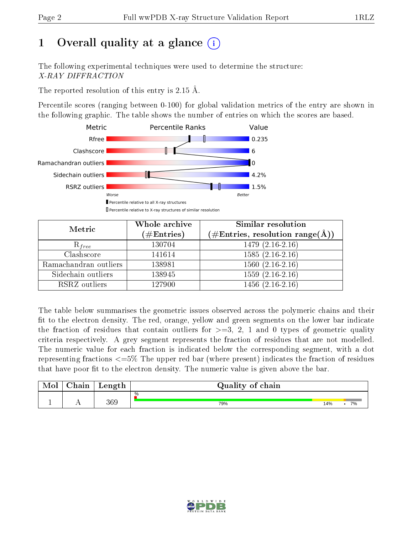# 1 [O](https://www.wwpdb.org/validation/2017/XrayValidationReportHelp#overall_quality)verall quality at a glance  $(i)$

The following experimental techniques were used to determine the structure: X-RAY DIFFRACTION

The reported resolution of this entry is 2.15 Å.

Percentile scores (ranging between 0-100) for global validation metrics of the entry are shown in the following graphic. The table shows the number of entries on which the scores are based.



| Metric                | Whole archive<br>$(\#\mathrm{Entries})$ | Similar resolution<br>$(\#\text{Entries},\,\text{resolution}\,\,\text{range}(\textup{\AA}))$ |  |  |
|-----------------------|-----------------------------------------|----------------------------------------------------------------------------------------------|--|--|
| $R_{free}$            | 130704                                  | $1479(2.16-2.16)$                                                                            |  |  |
| Clashscore            | 141614                                  | $1585(2.16-2.16)$                                                                            |  |  |
| Ramachandran outliers | 138981                                  | $1560(2.16-2.16)$                                                                            |  |  |
| Sidechain outliers    | 138945                                  | $1559(2.16-2.16)$                                                                            |  |  |
| RSRZ outliers         | 127900                                  | $1456(2.16-2.16)$                                                                            |  |  |

The table below summarises the geometric issues observed across the polymeric chains and their fit to the electron density. The red, orange, yellow and green segments on the lower bar indicate the fraction of residues that contain outliers for  $>=3, 2, 1$  and 0 types of geometric quality criteria respectively. A grey segment represents the fraction of residues that are not modelled. The numeric value for each fraction is indicated below the corresponding segment, with a dot representing fractions  $\epsilon=5\%$  The upper red bar (where present) indicates the fraction of residues that have poor fit to the electron density. The numeric value is given above the bar.

| Mol       | $\sim$ .<br>hain | Length | Quality of chain |     |    |
|-----------|------------------|--------|------------------|-----|----|
|           |                  |        | %                |     |    |
| <u>д.</u> | . .              | 369    | 79%              | 14% | 7% |

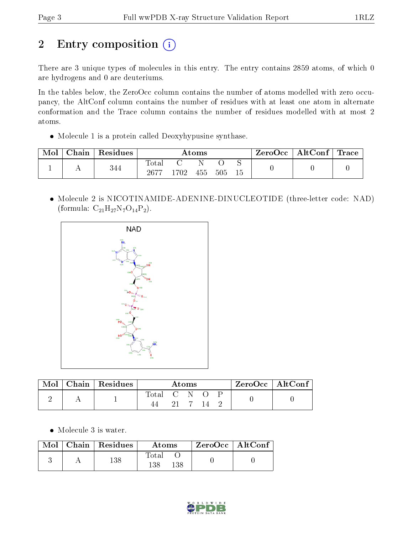# 2 Entry composition (i)

There are 3 unique types of molecules in this entry. The entry contains 2859 atoms, of which 0 are hydrogens and 0 are deuteriums.

In the tables below, the ZeroOcc column contains the number of atoms modelled with zero occupancy, the AltConf column contains the number of residues with at least one atom in alternate conformation and the Trace column contains the number of residues modelled with at most 2 atoms.

• Molecule 1 is a protein called Deoxyhypusine synthase.

| Mol | Chain | Residues | Atoms             |       |     |     | ZeroOcc | $\mid \text{AltConf} \mid \text{Trace} \mid$ |  |  |
|-----|-------|----------|-------------------|-------|-----|-----|---------|----------------------------------------------|--|--|
|     |       | 344      | Tota.<br>$2677\,$ | 1702. | 455 | 505 | 15      |                                              |  |  |

 Molecule 2 is NICOTINAMIDE-ADENINE-DINUCLEOTIDE (three-letter code: NAD) (formula:  $C_{21}H_{27}N_7O_{14}P_2$ ).



| Mol | Chain   $\overline{\text{Residues}}$ | Atoms       |  |  | $ZeroOcc \   \ AltConf \  $ |  |  |  |
|-----|--------------------------------------|-------------|--|--|-----------------------------|--|--|--|
|     |                                      | Total C N O |  |  |                             |  |  |  |

Molecule 3 is water.

| Mol | Chain Residues | Atoms               | $ZeroOcc$   AltConf |  |
|-----|----------------|---------------------|---------------------|--|
|     | 138            | Total<br>138<br>138 |                     |  |

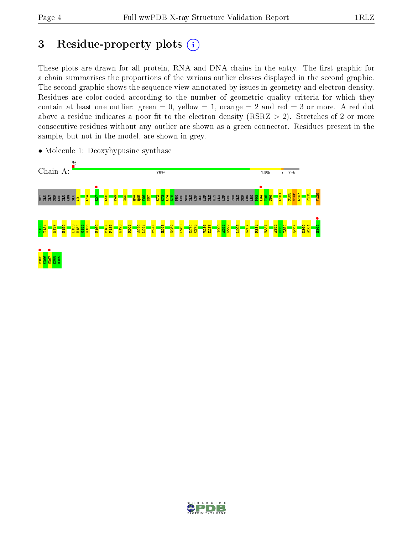# 3 Residue-property plots  $(i)$

These plots are drawn for all protein, RNA and DNA chains in the entry. The first graphic for a chain summarises the proportions of the various outlier classes displayed in the second graphic. The second graphic shows the sequence view annotated by issues in geometry and electron density. Residues are color-coded according to the number of geometric quality criteria for which they contain at least one outlier: green  $= 0$ , yellow  $= 1$ , orange  $= 2$  and red  $= 3$  or more. A red dot above a residue indicates a poor fit to the electron density (RSRZ  $> 2$ ). Stretches of 2 or more consecutive residues without any outlier are shown as a green connector. Residues present in the sample, but not in the model, are shown in grey.



• Molecule 1: Deoxyhypusine synthase

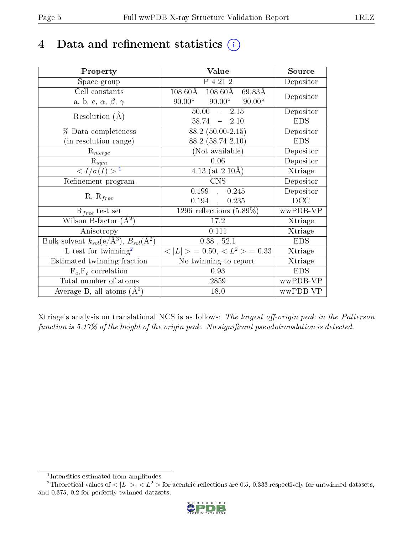# 4 Data and refinement statistics  $(i)$

| Property                                                         | Value                                              | Source     |
|------------------------------------------------------------------|----------------------------------------------------|------------|
| Space group                                                      | P 4 21 2                                           | Depositor  |
| Cell constants                                                   | $108.60\text{\AA}$<br>$108.60\text{\AA}$<br>69.83Å | Depositor  |
| a, b, c, $\alpha$ , $\beta$ , $\gamma$                           | $90.00^\circ$<br>$90.00^\circ$<br>$90.00^\circ$    |            |
| Resolution $(A)$                                                 | 50.00<br>$-2.15$                                   | Depositor  |
|                                                                  | $58.74 = 2.10$                                     | <b>EDS</b> |
| $\%$ Data completeness                                           | $\overline{88.2}$ (50.00-2.15)                     | Depositor  |
| (in resolution range)                                            | 88.2 (58.74-2.10)                                  | <b>EDS</b> |
| $R_{merge}$                                                      | (Not available)                                    | Depositor  |
| $\mathrm{R}_{sym}$                                               | 0.06                                               | Depositor  |
| $\langle I/\sigma(I) \rangle^{-1}$                               | 4.13 (at $2.10\text{\AA}$ )                        | Xtriage    |
| Refinement program                                               | <b>CNS</b>                                         | Depositor  |
|                                                                  | 0.199<br>0.245<br>$\mathbf{A}$                     | Depositor  |
| $R, R_{free}$                                                    | 0.194<br>0.235                                     | DCC        |
| $R_{free}$ test set                                              | $\overline{1296}$ reflections $(5.89\%)$           | wwPDB-VP   |
| Wilson B-factor $(A^2)$                                          | 17.2                                               | Xtriage    |
| Anisotropy                                                       | 0.111                                              | Xtriage    |
| Bulk solvent $k_{sol}(\text{e}/\text{A}^3), B_{sol}(\text{A}^2)$ | $0.38$ , $52.1$                                    | <b>EDS</b> |
| L-test for twinning <sup>2</sup>                                 | $< L >$ = 0.50, $< L2 >$ = 0.33                    | Xtriage    |
| Estimated twinning fraction                                      | No twinning to report.                             | Xtriage    |
| $F_o, F_c$ correlation                                           | 0.93                                               | <b>EDS</b> |
| Total number of atoms                                            | 2859                                               | wwPDB-VP   |
| Average B, all atoms $(A^2)$                                     | 18.0                                               | wwPDB-VP   |

Xtriage's analysis on translational NCS is as follows: The largest off-origin peak in the Patterson function is  $5.17\%$  of the height of the origin peak. No significant pseudotranslation is detected.

<sup>&</sup>lt;sup>2</sup>Theoretical values of  $\langle |L| \rangle$ ,  $\langle L^2 \rangle$  for acentric reflections are 0.5, 0.333 respectively for untwinned datasets, and 0.375, 0.2 for perfectly twinned datasets.



<span id="page-4-1"></span><span id="page-4-0"></span><sup>1</sup> Intensities estimated from amplitudes.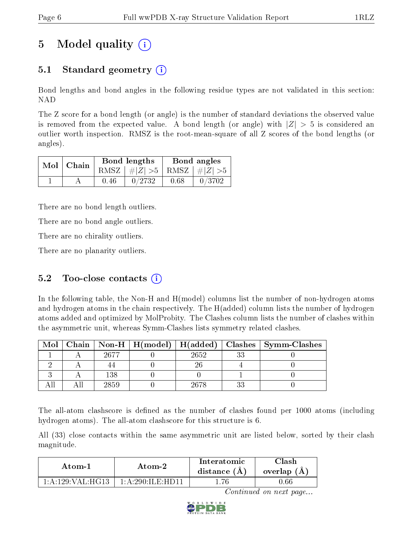# 5 Model quality  $(i)$

## 5.1 Standard geometry  $(i)$

Bond lengths and bond angles in the following residue types are not validated in this section: NAD

The Z score for a bond length (or angle) is the number of standard deviations the observed value is removed from the expected value. A bond length (or angle) with  $|Z| > 5$  is considered an outlier worth inspection. RMSZ is the root-mean-square of all Z scores of the bond lengths (or angles).

| $Mol$ Chain |      | Bond lengths                    | Bond angles |        |  |
|-------------|------|---------------------------------|-------------|--------|--|
|             |      | RMSZ $ #Z  > 5$ RMSZ $ #Z  > 5$ |             |        |  |
|             | 0.46 | 0/2732                          | 0.68        | 0/3702 |  |

There are no bond length outliers.

There are no bond angle outliers.

There are no chirality outliers.

There are no planarity outliers.

#### 5.2 Too-close contacts  $(i)$

In the following table, the Non-H and H(model) columns list the number of non-hydrogen atoms and hydrogen atoms in the chain respectively. The H(added) column lists the number of hydrogen atoms added and optimized by MolProbity. The Clashes column lists the number of clashes within the asymmetric unit, whereas Symm-Clashes lists symmetry related clashes.

| Mol |      |       |    | Chain   Non-H   H(model)   H(added)   Clashes   Symm-Clashes |
|-----|------|-------|----|--------------------------------------------------------------|
|     | 2677 | 2652  | วว |                                                              |
|     |      |       |    |                                                              |
|     | 138  |       |    |                                                              |
|     | 2859 | 26.78 |    |                                                              |

The all-atom clashscore is defined as the number of clashes found per 1000 atoms (including hydrogen atoms). The all-atom clashscore for this structure is 6.

All (33) close contacts within the same asymmetric unit are listed below, sorted by their clash magnitude.

| Atom-1                                     | Atom-2                               | Interatomic<br>distance $(A)$ | <b>Clash</b><br>overlap (A) |  |
|--------------------------------------------|--------------------------------------|-------------------------------|-----------------------------|--|
| $1 \cdot A \cdot 129 \cdot VAI \cdot HG13$ | $1 \cdot A \cdot 290 \cdot H$ F HD11 | .76                           | 0.66                        |  |

Continued on next page...

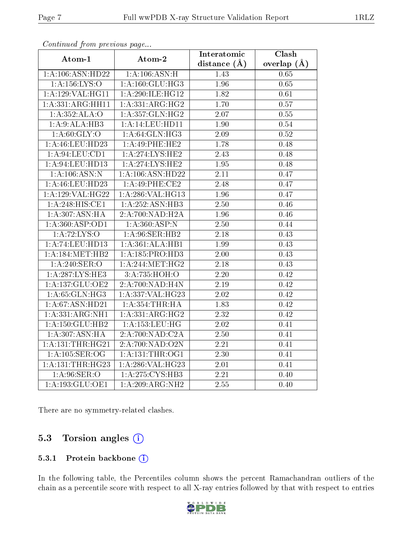| $\frac{1}{2}$                | Atom-2                      | Interatomic       | Clash             |
|------------------------------|-----------------------------|-------------------|-------------------|
| Atom-1                       |                             | distance $(A)$    | overlap $(\AA)$   |
| 1:A:106:ASN:HD22             | 1:A:106:ASN:H               | 1.43              | 0.65              |
| 1:A:156:LYS:O                | 1: A: 160: GLU: HG3         | 1.96              | 0.65              |
| 1:A:129:VAL:HG11             | 1:A:290:ILE:HG12            | 1.82              | 0.61              |
| 1:A:331:ARG:HH11             | 1:A:331:ARG:HG2             | 1.70              | 0.57              |
| 1:A:352:ALA:O                | 1: A: 357: GLN: HG2         | 2.07              | 0.55              |
| 1:A:9:ALA:HB3                | 1:A:14:LEU:HDI1             | 1.90              | $0.54\,$          |
| 1: A:60: GLY:O               | 1: A:64: GLN:HG3            | 2.09              | 0.52              |
| 1:A:46:LEU:HD23              | $1:A:49:PHE:\overline{HE2}$ | 1.78              | 0.48              |
| 1: A:94:LEV:CD1              | 1: A:274:LYS:HE2            | 2.43              | 0.48              |
| 1: A:94:LEU:HD13             | 1: A:274:LYS:HE2            | 1.95              | 0.48              |
| 1:A:106:ASN:N                | 1:A:106:ASN:HD22            | $\overline{2.11}$ | 0.47              |
| 1: A: 46: LEU: HD23          | 1:A:49:PHE:CE2              | 2.48              | 0.47              |
| 1:A:129:VAL:HG22             | $1:$ A:286:VAL:HG13         | 1.96              | 0.47              |
| $1:A:248:\overline{HIS:CE1}$ | 1:A:252:ASN:HB3             | 2.50              | 0.46              |
| 1:A:307:ASN:HA               | 2:A:700:NAD:H2A             | 1.96              | 0.46              |
| 1:A:360:ASP:OD1              | 1:A:360:ASP:N               | 2.50              | 0.44              |
| 1: A:72: LYS:O               | 1: A:96: SER: HB2           | 2.18              | 0.43              |
| 1: A:74: LEU: HD13           | 1:A:361:ALA:HB1             | 1.99              | 0.43              |
| 1:A:184:MET:HB2              | 1: A: 185: PRO: HD3         | 2.00              | 0.43              |
| 1: A:240: SER:O              | 1: A:244: MET:HG2           | 2.18              | 0.43              |
| 1: A:287:LYS:HE3             | 3:A:735:HOH:O               | $\overline{2.20}$ | $\overline{0.42}$ |
| 1:A:137:GLU:OE2              | 2:A:700:NAD:H4N             | $\overline{2.19}$ | 0.42              |
| 1: A:65: GLN:HG3             | 1:A:337:VAL:HG23            | $2.02\,$          | 0.42              |
| 1: A:67: ASN:HD21            | 1: A:354:THR:HA             | 1.83              | 0.42              |
| 1:A:331:ARG:NH1              | 1:A:331:ARG:HG2             | 2.32              | 0.42              |
| 1: A: 150: GLU: HB2          | 1: A:153:LEU:HG             | 2.02              | 0.41              |
| 1:A:307:ASN:HA               | 2:A:700:NAD:C2A             | 2.50              | 0.41              |
| 1:A:131:THR:HG21             | 2:A:700:NAD:O2N             | 2.21              | 0.41              |
| 1: A:105: SER:OG             | 1: A: 131: THE: OG1         | 2.30              | 0.41              |
| 1: A:131:THR:HG23            | 1:A:286:VAL:HG23            | $2.01\,$          | 0.41              |
| 1: A:96: SER:O               | 1: A:275:CYS:HB3            | $\overline{2.21}$ | 0.40              |
| 1: A: 193: GLU: OE1          | 1:A:209:ARG:NH2             | 2.55              | 0.40              |

Continued from previous page...

There are no symmetry-related clashes.

#### 5.3 Torsion angles  $(i)$

#### 5.3.1 Protein backbone (i)

In the following table, the Percentiles column shows the percent Ramachandran outliers of the chain as a percentile score with respect to all X-ray entries followed by that with respect to entries

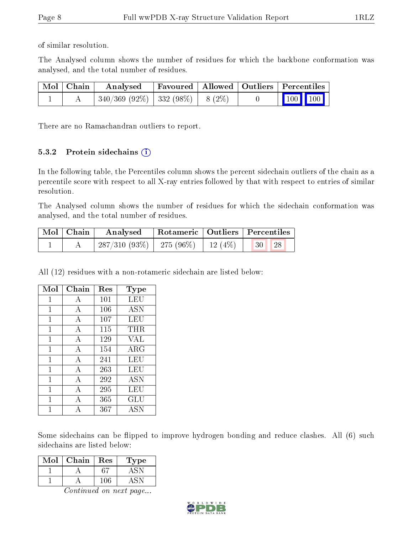of similar resolution.

The Analysed column shows the number of residues for which the backbone conformation was analysed, and the total number of residues.

| Mol   Chain | Analysed                                |  | Favoured   Allowed   Outliers   Percentiles                  |
|-------------|-----------------------------------------|--|--------------------------------------------------------------|
|             | $340/369$ (92\%)   332 (98\%)   8 (2\%) |  | $\begin{array}{ c c c c c }\n\hline\n100 & 100\n\end{array}$ |

There are no Ramachandran outliers to report.

#### 5.3.2 Protein sidechains  $(i)$

In the following table, the Percentiles column shows the percent sidechain outliers of the chain as a percentile score with respect to all X-ray entries followed by that with respect to entries of similar resolution.

The Analysed column shows the number of residues for which the sidechain conformation was analysed, and the total number of residues.

| Mol Chain | Analysed                                                          |  | Rotameric   Outliers   Percentiles |  |
|-----------|-------------------------------------------------------------------|--|------------------------------------|--|
|           | $\mid 287/310 \; (93\%) \mid 275 \; (96\%) \mid 12 \; (4\%) \mid$ |  | 30 <br>$\sqrt{28}$                 |  |

All (12) residues with a non-rotameric sidechain are listed below:

| Mol          | Chain          | Res | Type                 |
|--------------|----------------|-----|----------------------|
| 1            | А              | 101 | LEU                  |
| 1            | А              | 106 | <b>ASN</b>           |
| 1            | А              | 107 | LEU                  |
| 1            | $\overline{A}$ | 115 | THR                  |
| 1            | $\overline{A}$ | 129 | <b>VAL</b>           |
| 1            | А              | 154 | ARG                  |
| 1            | А              | 241 | LEU                  |
| $\mathbf{1}$ | А              | 263 | <b>LEU</b>           |
| 1            | А              | 292 | ASN                  |
| 1            | A              | 295 | LEU                  |
| 1            | $\overline{A}$ | 365 | $\operatorname{GLU}$ |
|              | А              | 367 | <b>ASN</b>           |

Some sidechains can be flipped to improve hydrogen bonding and reduce clashes. All (6) such sidechains are listed below:

| $\operatorname{Mol}$ | Chain | Res | L'ype |
|----------------------|-------|-----|-------|
|                      |       |     |       |
|                      |       | 106 |       |

Continued on next page...

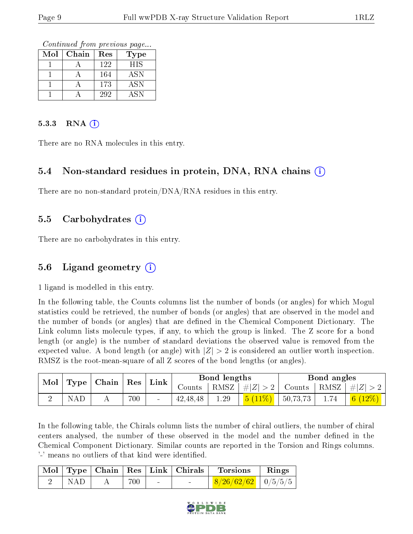Continued from previous page...

| Mol | Chain | Res | Type                 |
|-----|-------|-----|----------------------|
|     |       | 122 | <b>HIS</b>           |
|     |       | 164 | ASN                  |
|     |       | 173 | $\operatorname{ASN}$ |
|     |       | 292 | ASN                  |

#### 5.3.3 RNA  $(i)$

There are no RNA molecules in this entry.

#### 5.4 Non-standard residues in protein, DNA, RNA chains  $(i)$

There are no non-standard protein/DNA/RNA residues in this entry.

#### 5.5 Carbohydrates  $(i)$

There are no carbohydrates in this entry.

#### 5.6 Ligand geometry  $(i)$

1 ligand is modelled in this entry.

In the following table, the Counts columns list the number of bonds (or angles) for which Mogul statistics could be retrieved, the number of bonds (or angles) that are observed in the model and the number of bonds (or angles) that are defined in the Chemical Component Dictionary. The Link column lists molecule types, if any, to which the group is linked. The Z score for a bond length (or angle) is the number of standard deviations the observed value is removed from the expected value. A bond length (or angle) with  $|Z| > 2$  is considered an outlier worth inspection. RMSZ is the root-mean-square of all Z scores of the bond lengths (or angles).

|                          |     |     | ' Link | Bond lengths |      |                                                                     | Bond angles |      |                                     |
|--------------------------|-----|-----|--------|--------------|------|---------------------------------------------------------------------|-------------|------|-------------------------------------|
| Mol   Type   Chain   Res |     |     |        | Counts       |      | $ RMSZ  \#  Z  > 2  $                                               |             |      | $\perp$ Counts   RMSZ   $\# Z  > 2$ |
| NAD                      | . . | 700 |        | 42, 48, 48   | 1.29 | $\left  \frac{5}{6} \left( \frac{11\%}{2} \right) \right $ 50,73,73 |             | 1.74 | $\frac{1}{6}$ $(12\%)$              |

In the following table, the Chirals column lists the number of chiral outliers, the number of chiral centers analysed, the number of these observed in the model and the number defined in the Chemical Component Dictionary. Similar counts are reported in the Torsion and Rings columns. '-' means no outliers of that kind were identified.

|     |         | Mol   Type   Chain   Res   Link   Chirals | ' Torsions                          | $\parallel$ Rings |
|-----|---------|-------------------------------------------|-------------------------------------|-------------------|
| NAD | $700 -$ |                                           | $\mid 8/26/62/62 \mid 0/5/5/5 \mid$ |                   |

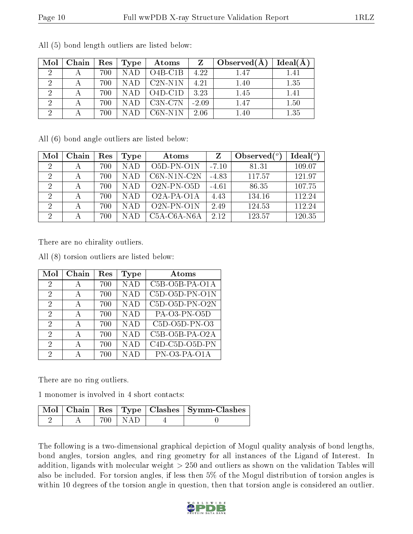| Mol                         | Chain | Res | Type       | Atoms                             | Z       | Observed $(A)$ | Ideal(A) |
|-----------------------------|-------|-----|------------|-----------------------------------|---------|----------------|----------|
| $\overline{2}$              |       | 700 | <b>NAD</b> | $O4B-C1B$                         | 4.22    | 1.47           | 1.41     |
|                             | А     | 700 | <b>NAD</b> | $C2N- N1N$                        | 4.21    | 1.40           | 1.35     |
| $\mathcal{D}_{\mathcal{C}}$ | А     | 700 | <b>NAD</b> | $O4D-C1D$                         | 3.23    | 1.45           | 1.41     |
|                             |       | 700 | NAD.       | C <sub>3</sub> N-C <sub>7</sub> N | $-2.09$ | 1.47           | 1.50     |
| റ                           |       | 700 |            | $C6N-N1N$                         | 2.06    | 1.40           | 1.35     |

All (5) bond length outliers are listed below:

All (6) bond angle outliers are listed below:

| Mol            | Chain | Res | Type       | Atoms                                             |         | Observed $(°)$ | Ideal $(°)$ |
|----------------|-------|-----|------------|---------------------------------------------------|---------|----------------|-------------|
| $\overline{2}$ | А     | 700 | <b>NAD</b> | $O5D-PN-O1N$                                      | $-7.10$ | 81.31          | 109.07      |
| $\overline{2}$ | А     | 700 | <b>NAD</b> | $C6N-N1N-C2N$                                     | $-4.83$ | 117.57         | 121.97      |
| 2              |       | 700 | <b>NAD</b> | $O2N-PN-O5D$                                      | $-4.61$ | 86.35          | 107.75      |
| 2              |       | 700 | <b>NAD</b> | O <sub>2</sub> A-P <sub>A</sub> -O <sub>1</sub> A | 4.43    | 134.16         | 112.24      |
| $\overline{2}$ | А     | 700 | <b>NAD</b> | $O2N-PN-O1N$                                      | 2.49    | 124.53         | 112.24      |
| 2              |       | 700 | NAD        | $C5A-C6A-NGA$                                     | 2.12    | 123.57         | 120.35      |

There are no chirality outliers.

All (8) torsion outliers are listed below:

| Mol                         | Chain | $\operatorname{Res}% \left( \mathcal{N}\right) \equiv\operatorname{Res}(\mathcal{N}_{0})\left( \mathcal{N}_{0}\right) ^{\ast}$ | Type       | Atoms            |
|-----------------------------|-------|--------------------------------------------------------------------------------------------------------------------------------|------------|------------------|
| 2                           | А     | 700                                                                                                                            | <b>NAD</b> | $C5B-O5B-PA-O1A$ |
| $\mathcal{D}_{\mathcal{A}}$ | A     | 700                                                                                                                            | NAD        | C5D-O5D-PN-O1N   |
| $\mathcal{D}_{\mathcal{A}}$ | A     | 700                                                                                                                            | <b>NAD</b> | $C5D-O5D-PN-O2N$ |
| $\mathcal{D}_{\mathcal{A}}$ | А     | 700                                                                                                                            | <b>NAD</b> | PA-03-PN-05D     |
| 2                           | А     | 700                                                                                                                            | <b>NAD</b> | $C5D-O5D-PN-O3$  |
| 2                           | А     | 700                                                                                                                            | NAD        | $C5B-O5B-PA-O2A$ |
| 2                           | А     | 700                                                                                                                            | <b>NAD</b> | C4D-C5D-O5D-PN   |
| 2                           |       | 700                                                                                                                            | <b>NAD</b> | $PN-O3-PA-O1A$   |

There are no ring outliers.

1 monomer is involved in 4 short contacts:

|  |           | Mol   Chain   Res   Type   Clashes   Symm-Clashes |
|--|-----------|---------------------------------------------------|
|  | 700   NAD |                                                   |

The following is a two-dimensional graphical depiction of Mogul quality analysis of bond lengths, bond angles, torsion angles, and ring geometry for all instances of the Ligand of Interest. In addition, ligands with molecular weight > 250 and outliers as shown on the validation Tables will also be included. For torsion angles, if less then 5% of the Mogul distribution of torsion angles is within 10 degrees of the torsion angle in question, then that torsion angle is considered an outlier.

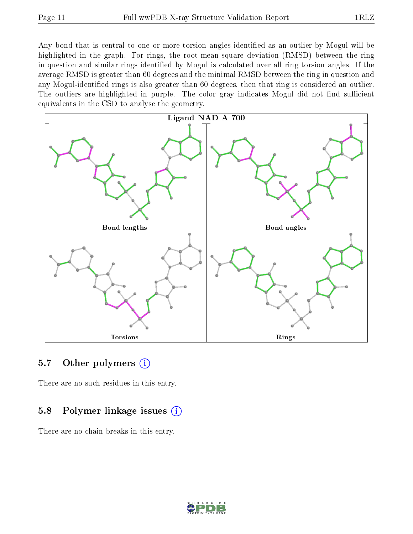Any bond that is central to one or more torsion angles identified as an outlier by Mogul will be highlighted in the graph. For rings, the root-mean-square deviation (RMSD) between the ring in question and similar rings identified by Mogul is calculated over all ring torsion angles. If the average RMSD is greater than 60 degrees and the minimal RMSD between the ring in question and any Mogul-identified rings is also greater than 60 degrees, then that ring is considered an outlier. The outliers are highlighted in purple. The color gray indicates Mogul did not find sufficient equivalents in the CSD to analyse the geometry.



#### 5.7 [O](https://www.wwpdb.org/validation/2017/XrayValidationReportHelp#nonstandard_residues_and_ligands)ther polymers (i)

There are no such residues in this entry.

#### 5.8 Polymer linkage issues (i)

There are no chain breaks in this entry.

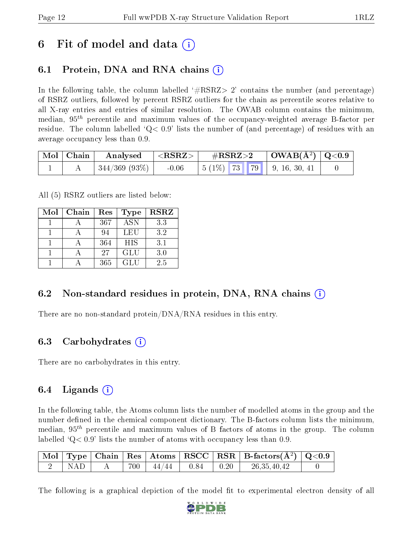## 6 Fit of model and data  $\left( \cdot \right)$

## 6.1 Protein, DNA and RNA chains (i)

In the following table, the column labelled  $#RSRZ>2'$  contains the number (and percentage) of RSRZ outliers, followed by percent RSRZ outliers for the chain as percentile scores relative to all X-ray entries and entries of similar resolution. The OWAB column contains the minimum, median,  $95<sup>th</sup>$  percentile and maximum values of the occupancy-weighted average B-factor per residue. The column labelled  $Q < 0.9$  lists the number of (and percentage) of residues with an average occupancy less than 0.9.

| $\mid$ Mol $\mid$ Chain | Analysed         | $<$ RSRZ $>$ | $\#\text{RSRZ}\text{>2}$ |  | $\mid$ OWAB(Å <sup>2</sup> ) $\mid$ Q<0.9 |                                     |  |
|-------------------------|------------------|--------------|--------------------------|--|-------------------------------------------|-------------------------------------|--|
|                         | $344/369$ (93\%) | $-0.06$      |                          |  |                                           | $\vert 5 (1\%)$ 73 79 9, 16, 30, 41 |  |

All (5) RSRZ outliers are listed below:

| Mol | Chain | Res | <b>Type</b> | <b>RSRZ</b> |  |
|-----|-------|-----|-------------|-------------|--|
|     |       | 367 | <b>ASN</b>  | 3.3         |  |
|     |       | 94  | LEU         | 3.2         |  |
|     |       | 364 | <b>HIS</b>  | 3.1         |  |
|     |       | 27  | <b>GLU</b>  | 3.0         |  |
|     |       | 365 | GLU         | 2.5         |  |

#### 6.2 Non-standard residues in protein, DNA, RNA chains (i)

There are no non-standard protein/DNA/RNA residues in this entry.

#### 6.3 Carbohydrates (i)

There are no carbohydrates in this entry.

### 6.4 Ligands  $(i)$

In the following table, the Atoms column lists the number of modelled atoms in the group and the number defined in the chemical component dictionary. The B-factors column lists the minimum, median,  $95<sup>th</sup>$  percentile and maximum values of B factors of atoms in the group. The column labelled  $Q< 0.9$ ' lists the number of atoms with occupancy less than 0.9.

|       |         |                 |              | $\mid$ Mol $\mid$ Type $\mid$ Chain $\mid$ Res $\mid$ Atoms $\mid$ RSCC $\mid$ RSR $\mid$ B-factors(A <sup>2</sup> ) $\mid$ Q<0.9 |  |
|-------|---------|-----------------|--------------|-----------------------------------------------------------------------------------------------------------------------------------|--|
| N A D | $700 +$ | $144/44$ $0.84$ | $\perp$ 0.20 | 26, 35, 40, 42                                                                                                                    |  |

The following is a graphical depiction of the model fit to experimental electron density of all